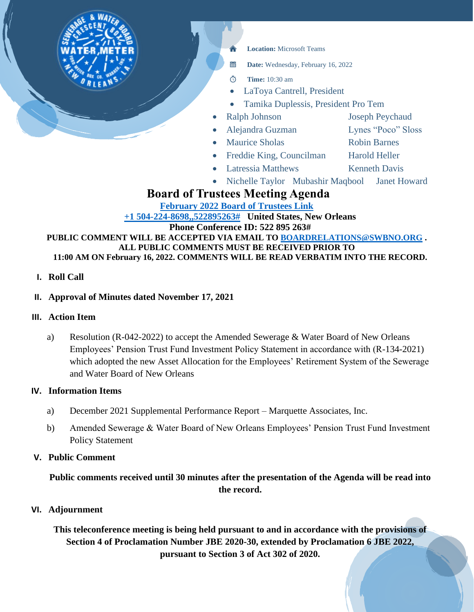

# **Board of Trustees Meeting Agenda**

**[February 2022 Board of Trustees Link](https://teams.microsoft.com/l/meetup-join/19%3ameeting_OTkzZTk0YjgtMzU0Yy00YTgyLWE5MTgtMmIzMTQ3NTMyZDY3%40thread.v2/0?context=%7b%22Tid%22%3a%22db706155-4aa7-4a5e-b348-b35c3136f6a7%22%2c%22Oid%22%3a%22fcca2b1f-7895-42f0-8972-2f2b78d70e78%22%7d) [+1 504-224-8698,,522895263#](tel:+15042248698,,522895263# ) United States, New Orleans Phone Conference ID: 522 895 263#**

**PUBLIC COMMENT WILL BE ACCEPTED VIA EMAIL TO [BOARDRELATIONS@SWBNO.ORG](mailto:BOARDRELATIONS@SWBNO.ORG) . ALL PUBLIC COMMENTS MUST BE RECEIVED PRIOR TO 11:00 AM ON February 16, 2022. COMMENTS WILL BE READ VERBATIM INTO THE RECORD.**

## **I. Roll Call**

## **II. Approval of Minutes dated November 17, 2021**

#### **III. Action Item**

a) Resolution (R-042-2022) to accept the Amended Sewerage & Water Board of New Orleans Employees' Pension Trust Fund Investment Policy Statement in accordance with (R-134-2021) which adopted the new Asset Allocation for the Employees' Retirement System of the Sewerage and Water Board of New Orleans

#### **IV. Information Items**

- a) December 2021 Supplemental Performance Report Marquette Associates, Inc.
- b) Amended Sewerage & Water Board of New Orleans Employees' Pension Trust Fund Investment Policy Statement

#### **V. Public Comment**

**Public comments received until 30 minutes after the presentation of the Agenda will be read into the record.**

#### **VI. Adjournment**

**This teleconference meeting is being held pursuant to and in accordance with the provisions of Section 4 of Proclamation Number JBE 2020-30, extended by Proclamation 6 JBE 2022, pursuant to Section 3 of Act 302 of 2020.**